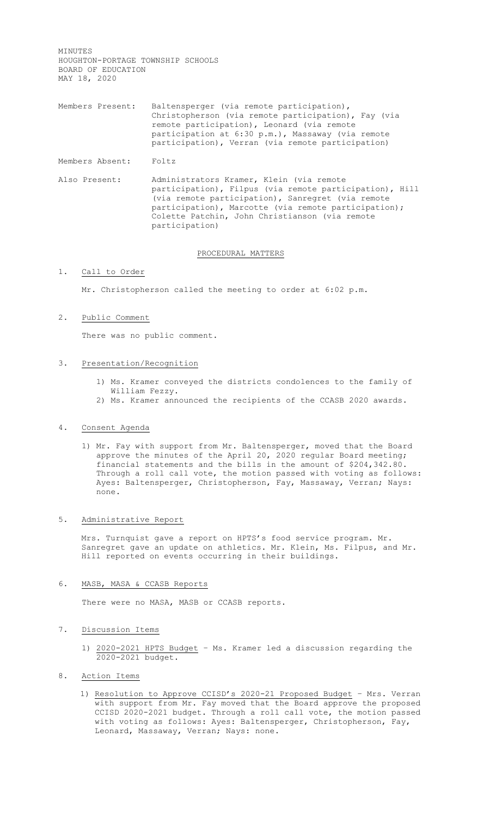MINUTES HOUGHTON-PORTAGE TOWNSHIP SCHOOLS BOARD OF EDUCATION MAY 18, 2020

Members Present: Baltensperger (via remote participation), Christopherson (via remote participation), Fay (via remote participation), Leonard (via remote participation at 6:30 p.m.), Massaway (via remote participation), Verran (via remote participation)

Members Absent: Foltz

Also Present: Administrators Kramer, Klein (via remote participation), Filpus (via remote participation), Hill (via remote participation), Sanregret (via remote participation), Marcotte (via remote participation); Colette Patchin, John Christianson (via remote participation)

# PROCEDURAL MATTERS

# 1. Call to Order

Mr. Christopherson called the meeting to order at 6:02 p.m.

#### 2. Public Comment

There was no public comment.

#### 3. Presentation/Recognition

- 1) Ms. Kramer conveyed the districts condolences to the family of William Fezzy.
- 2) Ms. Kramer announced the recipients of the CCASB 2020 awards.

# 4. Consent Agenda

1) Mr. Fay with support from Mr. Baltensperger, moved that the Board approve the minutes of the April 20, 2020 regular Board meeting; financial statements and the bills in the amount of \$204,342.80. Through a roll call vote, the motion passed with voting as follows: Ayes: Baltensperger, Christopherson, Fay, Massaway, Verran; Nays: none.

# 5. Administrative Report

Mrs. Turnquist gave a report on HPTS's food service program. Mr. Sanregret gave an update on athletics. Mr. Klein, Ms. Filpus, and Mr. Hill reported on events occurring in their buildings.

#### 6. MASB, MASA & CCASB Reports

There were no MASA, MASB or CCASB reports.

### 7. Discussion Items

- 1) 2020-2021 HPTS Budget Ms. Kramer led a discussion regarding the 2020-2021 budget.
- 8. Action Items
	- 1) Resolution to Approve CCISD's 2020-21 Proposed Budget Mrs. Verran with support from Mr. Fay moved that the Board approve the proposed CCISD 2020-2021 budget. Through a roll call vote, the motion passed with voting as follows: Ayes: Baltensperger, Christopherson, Fay, Leonard, Massaway, Verran; Nays: none.